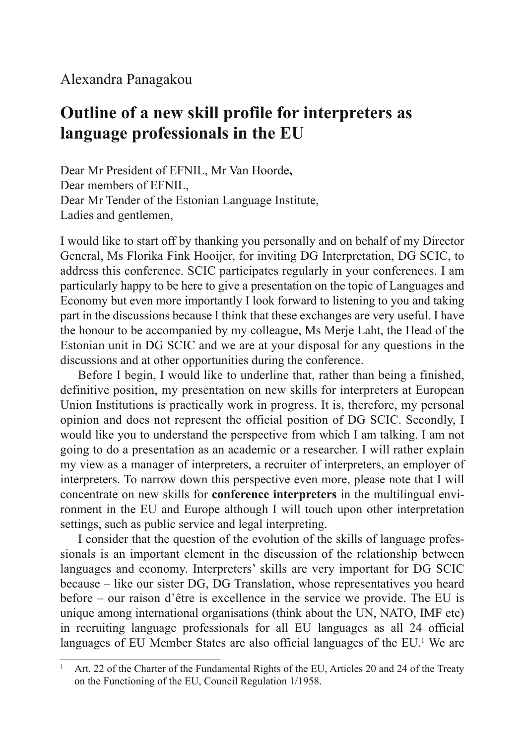## Alexandra Panagakou

## **Outline of a new skill profile for interpreters as language professionals in the EU**

Dear Mr President of EFNIL, Mr Van Hoorde**,** Dear members of EFNIL, Dear Mr Tender of the Estonian Language Institute, Ladies and gentlemen,

I would like to start off by thanking you personally and on behalf of my Director General, Ms Florika Fink Hooijer, for inviting DG Interpretation, DG SCIC, to address this conference. SCIC participates regularly in your conferences. I am particularly happy to be here to give a presentation on the topic of Languages and Economy but even more importantly I look forward to listening to you and taking part in the discussions because I think that these exchanges are very useful. I have the honour to be accompanied by my colleague, Ms Merje Laht, the Head of the Estonian unit in DG SCIC and we are at your disposal for any questions in the discussions and at other opportunities during the conference.

Before I begin, I would like to underline that, rather than being a finished, definitive position, my presentation on new skills for interpreters at European Union Institutions is practically work in progress. It is, therefore, my personal opinion and does not represent the official position of DG SCIC. Secondly, I would like you to understand the perspective from which I am talking. I am not going to do a presentation as an academic or a researcher. I will rather explain my view as a manager of interpreters, a recruiter of interpreters, an employer of interpreters. To narrow down this perspective even more, please note that I will concentrate on new skills for **conference interpreters** in the multilingual environment in the EU and Europe although I will touch upon other interpretation settings, such as public service and legal interpreting.

I consider that the question of the evolution of the skills of language professionals is an important element in the discussion of the relationship between languages and economy. Interpreters' skills are very important for DG SCIC because – like our sister DG, DG Translation, whose representatives you heard before – our raison d'être is excellence in the service we provide. The EU is unique among international organisations (think about the UN, NATO, IMF etc) in recruiting language professionals for all EU languages as all 24 official languages of EU Member States are also official languages of the EU.<sup>1</sup> We are

Art. 22 of the Charter of the Fundamental Rights of the EU, Articles 20 and 24 of the Treaty on the Functioning of the EU, Council Regulation 1/1958.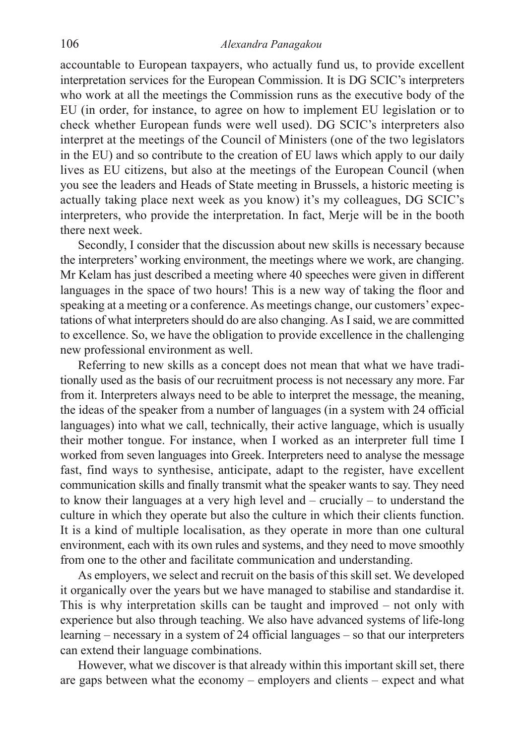accountable to European taxpayers, who actually fund us, to provide excellent interpretation services for the European Commission. It is DG SCIC's interpreters who work at all the meetings the Commission runs as the executive body of the EU (in order, for instance, to agree on how to implement EU legislation or to check whether European funds were well used). DG SCIC's interpreters also interpret at the meetings of the Council of Ministers (one of the two legislators in the EU) and so contribute to the creation of EU laws which apply to our daily lives as EU citizens, but also at the meetings of the European Council (when you see the leaders and Heads of State meeting in Brussels, a historic meeting is actually taking place next week as you know) it's my colleagues, DG SCIC's interpreters, who provide the interpretation. In fact, Merje will be in the booth there next week.

Secondly, I consider that the discussion about new skills is necessary because the interpreters' working environment, the meetings where we work, are changing. Mr Kelam has just described a meeting where 40 speeches were given in different languages in the space of two hours! This is a new way of taking the floor and speaking at a meeting or a conference. As meetings change, our customers' expectations of what interpreters should do are also changing. As I said, we are committed to excellence. So, we have the obligation to provide excellence in the challenging new professional environment as well.

Referring to new skills as a concept does not mean that what we have traditionally used as the basis of our recruitment process is not necessary any more. Far from it. Interpreters always need to be able to interpret the message, the meaning, the ideas of the speaker from a number of languages (in a system with 24 official languages) into what we call, technically, their active language, which is usually their mother tongue. For instance, when I worked as an interpreter full time I worked from seven languages into Greek. Interpreters need to analyse the message fast, find ways to synthesise, anticipate, adapt to the register, have excellent communication skills and finally transmit what the speaker wants to say. They need to know their languages at a very high level and – crucially – to understand the culture in which they operate but also the culture in which their clients function. It is a kind of multiple localisation, as they operate in more than one cultural environment, each with its own rules and systems, and they need to move smoothly from one to the other and facilitate communication and understanding.

As employers, we select and recruit on the basis of this skill set. We developed it organically over the years but we have managed to stabilise and standardise it. This is why interpretation skills can be taught and improved – not only with experience but also through teaching. We also have advanced systems of life-long learning – necessary in a system of 24 official languages – so that our interpreters can extend their language combinations.

However, what we discover is that already within this important skill set, there are gaps between what the economy – employers and clients – expect and what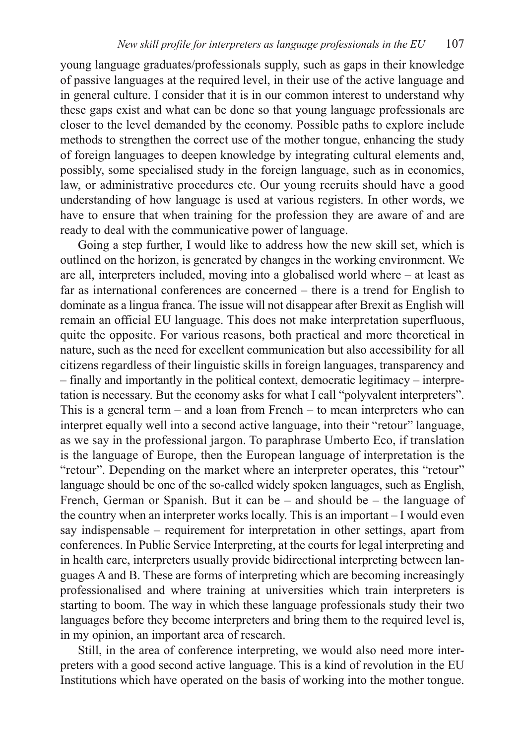young language graduates/professionals supply, such as gaps in their knowledge of passive languages at the required level, in their use of the active language and in general culture. I consider that it is in our common interest to understand why these gaps exist and what can be done so that young language professionals are closer to the level demanded by the economy. Possible paths to explore include methods to strengthen the correct use of the mother tongue, enhancing the study of foreign languages to deepen knowledge by integrating cultural elements and, possibly, some specialised study in the foreign language, such as in economics, law, or administrative procedures etc. Our young recruits should have a good understanding of how language is used at various registers. In other words, we have to ensure that when training for the profession they are aware of and are ready to deal with the communicative power of language.

Going a step further, I would like to address how the new skill set, which is outlined on the horizon, is generated by changes in the working environment. We are all, interpreters included, moving into a globalised world where – at least as far as international conferences are concerned – there is a trend for English to dominate as a lingua franca. The issue will not disappear after Brexit as English will remain an official EU language. This does not make interpretation superfluous, quite the opposite. For various reasons, both practical and more theoretical in nature, such as the need for excellent communication but also accessibility for all citizens regardless of their linguistic skills in foreign languages, transparency and – finally and importantly in the political context, democratic legitimacy – interpretation is necessary. But the economy asks for what I call "polyvalent interpreters". This is a general term – and a loan from French – to mean interpreters who can interpret equally well into a second active language, into their "retour" language, as we say in the professional jargon. To paraphrase Umberto Eco, if translation is the language of Europe, then the European language of interpretation is the "retour". Depending on the market where an interpreter operates, this "retour" language should be one of the so-called widely spoken languages, such as English, French, German or Spanish. But it can be – and should be – the language of the country when an interpreter works locally. This is an important – I would even say indispensable – requirement for interpretation in other settings, apart from conferences. In Public Service Interpreting, at the courts for legal interpreting and in health care, interpreters usually provide bidirectional interpreting between languages A and B. These are forms of interpreting which are becoming increasingly professionalised and where training at universities which train interpreters is starting to boom. The way in which these language professionals study their two languages before they become interpreters and bring them to the required level is, in my opinion, an important area of research.

Still, in the area of conference interpreting, we would also need more interpreters with a good second active language. This is a kind of revolution in the EU Institutions which have operated on the basis of working into the mother tongue.